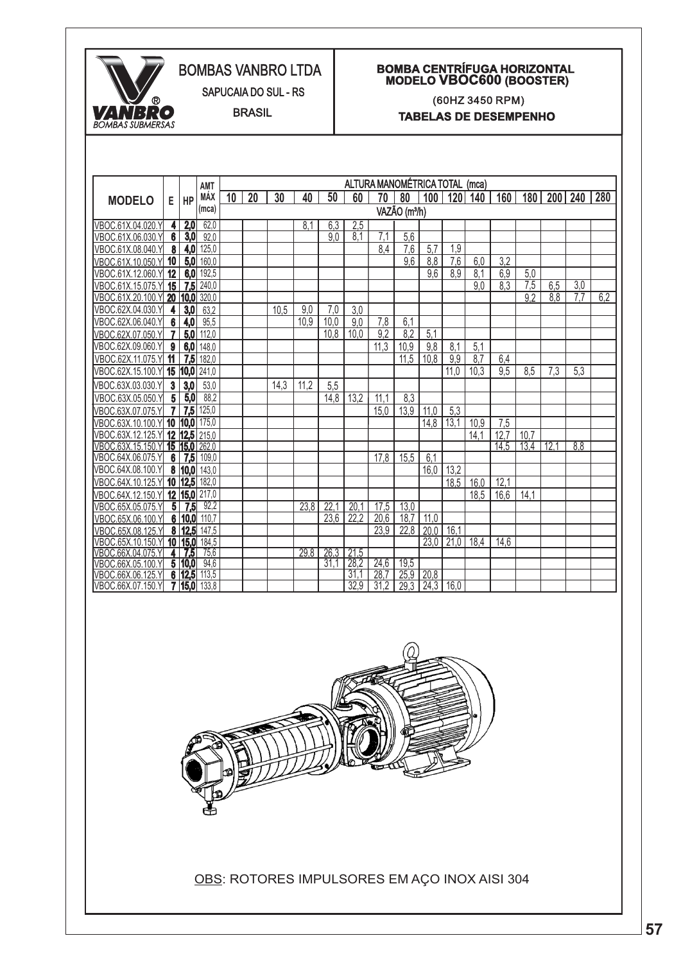

## BOMBAS VANBRO LTDA

SAPUCAIA DO SUL - RS

BRASIL

## **BOMBA CENTRÍFUGA HORIZONTAL MODELO VBOC600 (BOOSTER)**

(60HZ 3450 RPM) **TABELAS DE DESEMPENHO**

|                                       |                         |                  | AMT           | ALTURA MANOMÉTRICA TOTAL<br>(mca) |    |      |      |      |              |              |              |      |      |      |      |                  |      |     |     |
|---------------------------------------|-------------------------|------------------|---------------|-----------------------------------|----|------|------|------|--------------|--------------|--------------|------|------|------|------|------------------|------|-----|-----|
| <b>MODELO</b>                         | Е                       | <b>HP</b>        | MÁX           | 10                                | 20 | 30   | 40   | 50   | 60           | 70           | 80           | 100  | 120  | 140  | 160  | 180              | 200  | 240 | 280 |
|                                       |                         |                  | (mca)         | VAZÃO (m <sup>3</sup> /h)         |    |      |      |      |              |              |              |      |      |      |      |                  |      |     |     |
| VBOC.61X.04.020.Y                     | 4                       | 2,0              | 62,0          |                                   |    |      | 8.1  | 6.3  | 2,5          |              |              |      |      |      |      |                  |      |     |     |
| VBOC.61X.06.030.Y                     | $\boldsymbol{6}$        | $\overline{3,0}$ | 92,0          |                                   |    |      |      | 9.0  | 8,1          | 7.1          | 5,6          |      |      |      |      |                  |      |     |     |
| VBOC.61X.08.040.Y                     | 8                       | 4,0              | 125,0         |                                   |    |      |      |      |              | 8.4          | 7,6          | 5.7  | 1,9  |      |      |                  |      |     |     |
| VBOC.61X.10.050.Y                     | 10                      | 5,0              | 160,0         |                                   |    |      |      |      |              |              | 9,6          | 8.8  | 7,6  | 6.0  | 3.2  |                  |      |     |     |
| VBOC.61X.12.060.Y                     | 12                      | 6.0              | 192,5         |                                   |    |      |      |      |              |              |              | 9.6  | 8.9  | 8,1  | 6,9  | 5,0              |      |     |     |
| VBOC.61X.15.075.Y                     | 15                      | 7.5              | 240,0         |                                   |    |      |      |      |              |              |              |      |      | 9.0  | 8.3  | $\overline{7.5}$ | 6,5  | 3,0 |     |
| VBOC.61X.20.100.Y                     | 20                      | 10.0             | 320,0         |                                   |    |      |      |      |              |              |              |      |      |      |      | 9.2              | 8.8  | 7.7 | 6.2 |
| VBOC.62X.04.030.Y                     | 4                       | 3,0              | 63,2          |                                   |    | 10.5 | 9,0  | 7,0  | 3,0          |              |              |      |      |      |      |                  |      |     |     |
| VBOC.62X.06.040.Y                     | 6                       | 4,0              | 95,5          |                                   |    |      | 10.9 | 10,0 | 9,0          | 7,8          | 6,1          |      |      |      |      |                  |      |     |     |
| VBOC.62X.07.050.Y                     | 7                       | 5,0              | 112,0         |                                   |    |      |      | 10.8 | 10.0         | 9.2          | 8.2          | 5.1  |      |      |      |                  |      |     |     |
| VBOC.62X.09.060.Y                     | 9                       | 6,0              | 148,0         |                                   |    |      |      |      |              | 11,3         | 10,9         | 9,8  | 8,1  | 5,1  |      |                  |      |     |     |
| VBOC.62X.11.075.Y                     | 11                      | 7,5              | 182,0         |                                   |    |      |      |      |              |              | 11.5         | 10.8 | 9.9  | 8.7  | 6,4  |                  |      |     |     |
| VBOC.62X.15.100.Y                     | 15                      | 10,0             | 241,0         |                                   |    |      |      |      |              |              |              |      | 11,0 | 10,3 | 9,5  | 8.5              | 7,3  | 5,3 |     |
| VBOC.63X.03.030.Y                     | $\overline{\mathbf{3}}$ | 3,0              | 53,0          |                                   |    | 14.3 | 11.2 | 5,5  |              |              |              |      |      |      |      |                  |      |     |     |
| VBOC.63X.05.050.Y                     | $\overline{5}$          | 5,0              | 88,2          |                                   |    |      |      | 14,8 | 13,2         | 11.1         | 8,3          |      |      |      |      |                  |      |     |     |
| VBOC.63X.07.075.Y                     |                         | 7,5              | 125,0         |                                   |    |      |      |      |              | 15.0         | 13,9         | 11,0 | 5,3  |      |      |                  |      |     |     |
| VBOC.63X.10.100.Y                     | 10                      | 10,0             | 175,0         |                                   |    |      |      |      |              |              |              | 14.8 | 13.1 | 10,9 | 7.5  |                  |      |     |     |
| VBOC.63X.12.125.Y                     | 12                      | 12.5             | 215,0         |                                   |    |      |      |      |              |              |              |      |      | 14,1 | 12,7 | 10,7             |      |     |     |
| VBOC.63X.15.150.Y                     | 15                      | 15.0             | 262.0         |                                   |    |      |      |      |              |              |              |      |      |      | 14.5 | 13,4             | 12.1 | 8.8 |     |
| VBOC.64X.06.075.Y                     | 6                       | 7,5              | 109,0         |                                   |    |      |      |      |              | 17.8         | 15.5         | 6.1  |      |      |      |                  |      |     |     |
| VBOC.64X.08.100.Y                     |                         | 8 10,0           | 143,0         |                                   |    |      |      |      |              |              |              | 16.0 | 13.2 |      |      |                  |      |     |     |
| VBOC.64X.10.125.Y                     | 10                      | 12,5             | 182.0         |                                   |    |      |      |      |              |              |              |      | 18.5 | 16.0 | 12,1 |                  |      |     |     |
| VBOC.64X.12.150.Y                     | 12                      | 15,0             | 217.0         |                                   |    |      |      |      |              |              |              |      |      | 18.5 | 16,6 | 14,1             |      |     |     |
| VBOC.65X.05.075.Y                     | 5                       | 7,5              | 92.2          |                                   |    |      | 23.8 | 22.1 | 20,1         | 17,5         | 13,0         |      |      |      |      |                  |      |     |     |
| VBOC.65X.06.100.Y                     | 6                       | 10,0             | 110,7         |                                   |    |      |      | 23,6 | 22.2         | 20,6         | 18,7         | 11,0 |      |      |      |                  |      |     |     |
| VBOC.65X.08.125.Y                     | 8                       | 12,5             | 147,5         |                                   |    |      |      |      |              | 23.9         | 22,8         | 20.0 | 16,1 |      |      |                  |      |     |     |
| VBOC.65X.10.150.Y                     | 10                      | 15.0             | 184,5         |                                   |    |      |      |      |              |              |              | 23.0 | 21.0 | 18.4 | 14,6 |                  |      |     |     |
| VBOC.66X.04.075.Y                     |                         | 7.5              | 75.6          |                                   |    |      | 29.8 | 26.3 | 21,5         |              |              |      |      |      |      |                  |      |     |     |
| VBOC.66X.05.100.Y                     |                         | 5 10,0<br>6 12,5 | 94,6<br>113,5 |                                   |    |      |      | 31.1 | 28.2<br>31,1 | 24,6<br>28,7 | 19,5         | 20,8 |      |      |      |                  |      |     |     |
| VBOC.66X.06.125.<br>VBOC.66X.07.150.Y |                         | 7 15.0           | 133.8         |                                   |    |      |      |      | 32.9         | 31.2         | 25,9<br>29.3 | 24,3 | 16.0 |      |      |                  |      |     |     |
|                                       |                         |                  |               |                                   |    |      |      |      |              |              |              |      |      |      |      |                  |      |     |     |



OBS: ROTORES IMPULSORES EM AÇO INOX AISI 304